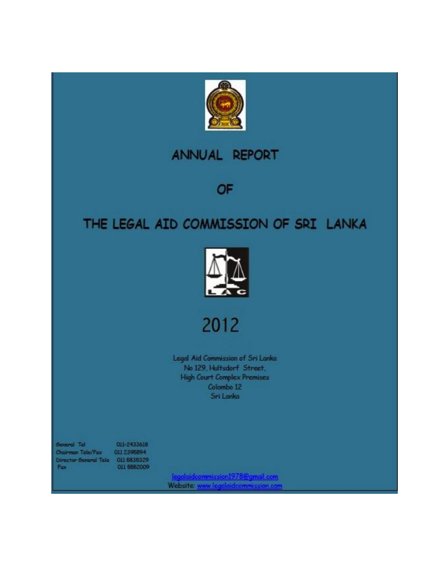

## **ANNUAL REPORT**

OF

# THE LEGAL AID COMMISSION OF SRI LANKA



2012

Legal Aid Commission of Sri Lanka No 129, Hultsdorf Street, **High Court Complex Premises** Colombo 12 Sri Lanka

**General Tel** Chairman Tolo/Fax Director Seneral Tele 011 6836329<br>Fax 011 6662009

011-2433618 0112395894

Legalaidcommission1978@gmail.com<br>Website: www.legalaidcommission.com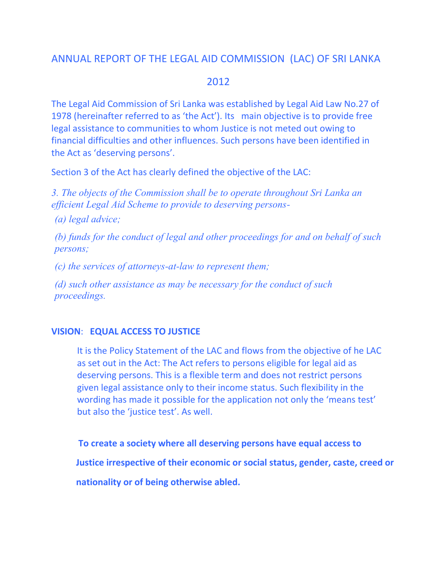## ANNUAL REPORT OF THE LEGAL AID COMMISSION (LAC) OF SRI LANKA

## 2012

The Legal Aid Commission of Sri Lanka was established by Legal Aid Law No.27 of 1978 (hereinafter referred to as 'the Act'). Its main objective is to provide free legal assistance to communities to whom Justice is not meted out owing to financial difficulties and other influences. Such persons have been identified in the Act as 'deserving persons'.

Section 3 of the Act has clearly defined the objective of the LAC:

*3. The objects of the Commission shall be to operate throughout Sri Lanka an efficient Legal Aid Scheme to provide to deserving persons-*

*(a) legal advice;*

*(b) funds for the conduct of legal and other proceedings for and on behalf of such persons;*

*(c) the services of attorneys-at-law to represent them;*

*(d) such other assistance as may be necessary for the conduct of such proceedings.*

## **VISION**: **EQUAL ACCESS TO JUSTICE**

It is the Policy Statement of the LAC and flows from the objective of he LAC as set out in the Act: The Act refers to persons eligible for legal aid as deserving persons. This is a flexible term and does not restrict persons given legal assistance only to their income status. Such flexibility in the wording has made it possible for the application not only the 'means test' but also the 'justice test'. As well.

 **To create a society where all deserving persons have equal access to Justice irrespective of their economic or social status, gender, caste, creed or nationality or of being otherwise abled.**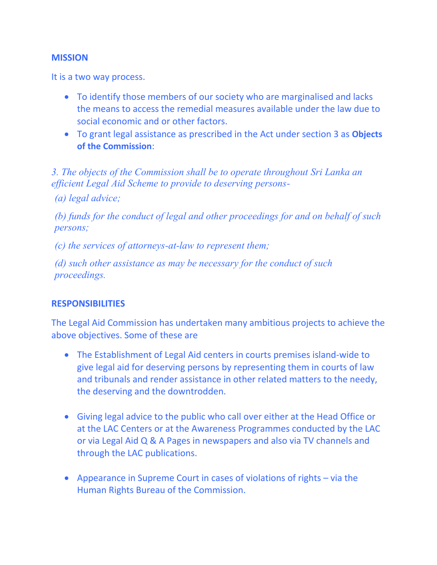### **MISSION**

It is a two way process.

- To identify those members of our society who are marginalised and lacks the means to access the remedial measures available under the law due to social economic and or other factors.
- To grant legal assistance as prescribed in the Act under section 3 as **Objects of the Commission**:

*3. The objects of the Commission shall be to operate throughout Sri Lanka an efficient Legal Aid Scheme to provide to deserving persons-*

*(a) legal advice;*

*(b) funds for the conduct of legal and other proceedings for and on behalf of such persons;*

*(c) the services of attorneys-at-law to represent them;*

*(d) such other assistance as may be necessary for the conduct of such proceedings.*

### **RESPONSIBILITIES**

The Legal Aid Commission has undertaken many ambitious projects to achieve the above objectives. Some of these are

- The Establishment of Legal Aid centers in courts premises island-wide to give legal aid for deserving persons by representing them in courts of law and tribunals and render assistance in other related matters to the needy, the deserving and the downtrodden.
- Giving legal advice to the public who call over either at the Head Office or at the LAC Centers or at the Awareness Programmes conducted by the LAC or via Legal Aid Q & A Pages in newspapers and also via TV channels and through the LAC publications.
- Appearance in Supreme Court in cases of violations of rights via the Human Rights Bureau of the Commission.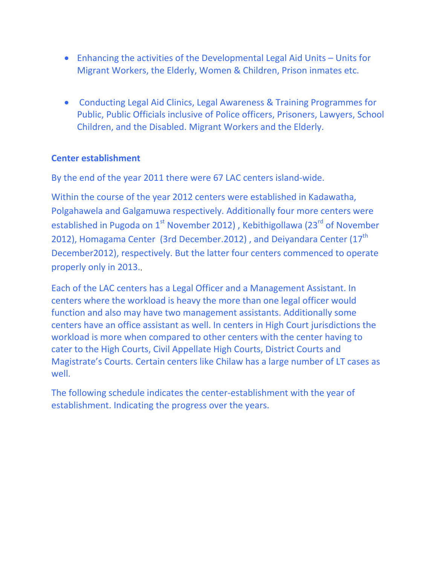- Enhancing the activities of the Developmental Legal Aid Units Units for Migrant Workers, the Elderly, Women & Children, Prison inmates etc.
- Conducting Legal Aid Clinics, Legal Awareness & Training Programmes for Public, Public Officials inclusive of Police officers, Prisoners, Lawyers, School Children, and the Disabled. Migrant Workers and the Elderly.

### **Center establishment**

By the end of the year 2011 there were 67 LAC centers island-wide.

Within the course of the year 2012 centers were established in Kadawatha, Polgahawela and Galgamuwa respectively. Additionally four more centers were established in Pugoda on  $1<sup>st</sup>$  November 2012), Kebithigollawa (23 $<sup>rd</sup>$  of November</sup> 2012), Homagama Center (3rd December.2012), and Deiyandara Center (17<sup>th</sup> December2012), respectively. But the latter four centers commenced to operate properly only in 2013.,

Each of the LAC centers has a Legal Officer and a Management Assistant. In centers where the workload is heavy the more than one legal officer would function and also may have two management assistants. Additionally some centers have an office assistant as well. In centers in High Court jurisdictions the workload is more when compared to other centers with the center having to cater to the High Courts, Civil Appellate High Courts, District Courts and Magistrate's Courts. Certain centers like Chilaw has a large number of LT cases as well.

The following schedule indicates the center-establishment with the year of establishment. Indicating the progress over the years.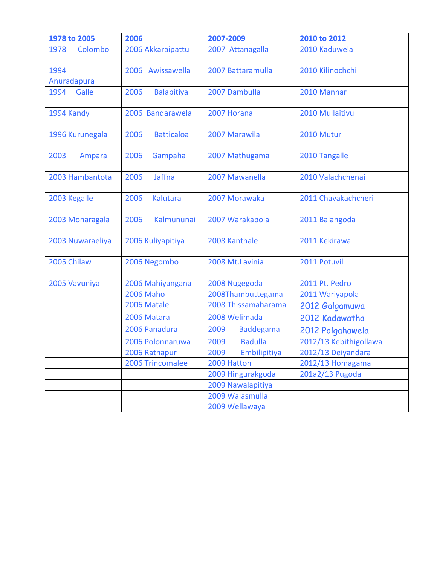| 1978 to 2005     | 2006                      | 2007-2009                | 2010 to 2012           |
|------------------|---------------------------|--------------------------|------------------------|
| Colombo<br>1978  | 2006 Akkaraipattu         | 2007 Attanagalla         | 2010 Kaduwela          |
| 1994             | 2006 Awissawella          | 2007 Battaramulla        | 2010 Kilinochchi       |
| Anuradapura      |                           |                          |                        |
| 1994<br>Galle    | 2006<br><b>Balapitiya</b> | 2007 Dambulla            | 2010 Mannar            |
| 1994 Kandy       | 2006 Bandarawela          | 2007 Horana              | 2010 Mullaitivu        |
| 1996 Kurunegala  | 2006<br><b>Batticaloa</b> | 2007 Marawila            | 2010 Mutur             |
| 2003<br>Ampara   | 2006<br>Gampaha           | 2007 Mathugama           | 2010 Tangalle          |
| 2003 Hambantota  | <b>Jaffna</b><br>2006     | 2007 Mawanella           | 2010 Valachchenai      |
| 2003 Kegalle     | 2006<br><b>Kalutara</b>   | 2007 Morawaka            | 2011 Chavakachcheri    |
| 2003 Monaragala  | 2006<br>Kalmununai        | 2007 Warakapola          | 2011 Balangoda         |
| 2003 Nuwaraeliya | 2006 Kuliyapitiya         | 2008 Kanthale            | 2011 Kekirawa          |
| 2005 Chilaw      | 2006 Negombo              | 2008 Mt.Lavinia          | 2011 Potuvil           |
| 2005 Vavuniya    | 2006 Mahiyangana          | 2008 Nugegoda            | 2011 Pt. Pedro         |
|                  | <b>2006 Maho</b>          | 2008Thambuttegama        | 2011 Wariyapola        |
|                  | 2006 Matale               | 2008 Thissamaharama      | 2012 Galgamuwa         |
|                  | 2006 Matara               | 2008 Welimada            | 2012 Kadawatha         |
|                  | 2006 Panadura             | 2009<br><b>Baddegama</b> | 2012 Polgahawela       |
|                  | 2006 Polonnaruwa          | 2009<br><b>Badulla</b>   | 2012/13 Kebithigollawa |
|                  | 2006 Ratnapur             | 2009<br>Embilipitiya     | 2012/13 Deiyandara     |
|                  | 2006 Trincomalee          | 2009 Hatton              | 2012/13 Homagama       |
|                  |                           | 2009 Hingurakgoda        | 201a2/13 Pugoda        |
|                  |                           | 2009 Nawalapitiya        |                        |
|                  |                           | 2009 Walasmulla          |                        |
|                  |                           | 2009 Wellawaya           |                        |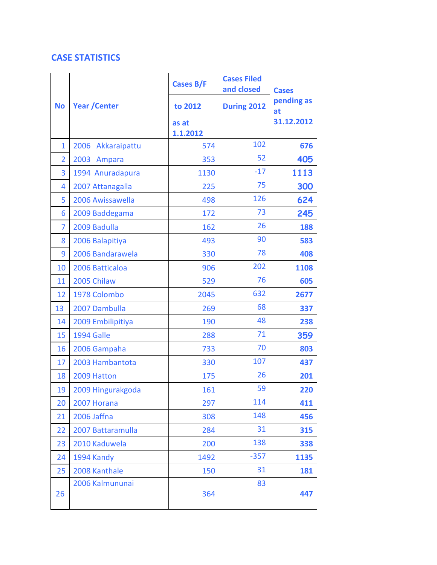## **CASE STATISTICS**

|                | <b>Year / Center</b> | Cases B/F         | <b>Cases Filed</b><br>and closed | <b>Cases</b>     |  |
|----------------|----------------------|-------------------|----------------------------------|------------------|--|
| <b>No</b>      |                      | to 2012           | During 2012                      | pending as<br>at |  |
|                |                      | as at<br>1.1.2012 |                                  | 31.12.2012       |  |
| $\mathbf{1}$   | 2006<br>Akkaraipattu | 574               | 102                              | 676              |  |
| $\overline{2}$ | 2003<br>Ampara       | 353               | 52                               | 405              |  |
| 3              | 1994 Anuradapura     | 1130              | $-17$                            | 1113             |  |
| 4              | 2007 Attanagalla     | 225               | 75                               | 300              |  |
| 5              | 2006 Awissawella     | 498               | 126                              | 624              |  |
| 6              | 2009 Baddegama       | 172               | 73                               | 245              |  |
| 7              | 2009 Badulla         | 162               | 26                               | 188              |  |
| 8              | 2006 Balapitiya      | 493               | 90                               | 583              |  |
| 9              | 2006 Bandarawela     | 330               | 78                               | 408              |  |
| 10             | 2006 Batticaloa      | 906               | 202                              | 1108             |  |
| 11             | 2005 Chilaw          | 529               | 76                               | 605              |  |
| 12             | 1978 Colombo         | 2045              | 632                              | 2677             |  |
| 13             | 2007 Dambulla        | 269               | 68                               | 337              |  |
| 14             | 2009 Embilipitiya    | 190               | 48                               | 238              |  |
| 15             | 1994 Galle           | 288               | 71                               | 359              |  |
| 16             | 2006 Gampaha         | 733               | 70                               | 803              |  |
| 17             | 2003 Hambantota      | 330               | 107                              | 437              |  |
| 18             | 2009 Hatton          | 175               | 26                               | 201              |  |
| 19             | 2009 Hingurakgoda    | 161               | 59                               | 220              |  |
| 20             | 2007 Horana          | 297               | 114                              | 411              |  |
| 21             | 2006 Jaffna          | 308               | 148                              | 456              |  |
| 22             | 2007 Battaramulla    | 284               | 31                               | 315              |  |
| 23             | 2010 Kaduwela        | 200               | 138                              | 338              |  |
| 24             | 1994 Kandy           | 1492              | $-357$                           | 1135             |  |
| 25             | 2008 Kanthale        | 150               | 31                               | 181              |  |
| 26             | 2006 Kalmununai      | 364               | 83                               | 447              |  |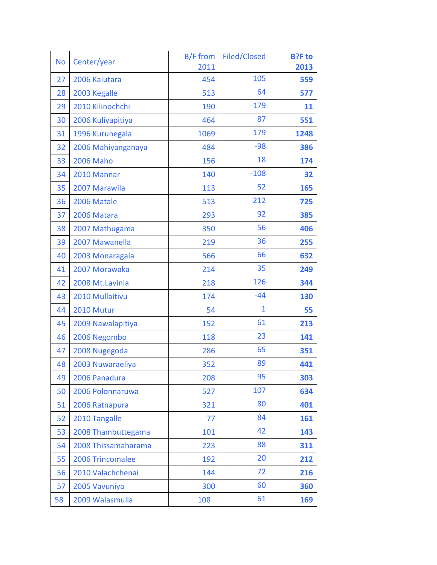| <b>No</b> | Center/year         | B/F from<br>2011 | Filed/Closed | <b>B?F</b> to<br>2013 |
|-----------|---------------------|------------------|--------------|-----------------------|
| 27        | 2006 Kalutara       | 454              | 105          | 559                   |
| 28        | 2003 Kegalle        | 513              | 64           | 577                   |
| 29        | 2010 Kilinochchi    | 190              | $-179$       | 11                    |
| 30        | 2006 Kuliyapitiya   | 464              | 87           | 551                   |
| 31        | 1996 Kurunegala     | 1069             | 179          | 1248                  |
| 32        | 2006 Mahiyanganaya  | 484              | $-98$        | 386                   |
| 33        | <b>2006 Maho</b>    | 156              | 18           | 174                   |
| 34        | 2010 Mannar         | 140              | $-108$       | 32                    |
| 35        | 2007 Marawila       | 113              | 52           | 165                   |
| 36        | 2006 Matale         | 513              | 212          | 725                   |
| 37        | 2006 Matara         | 293              | 92           | 385                   |
| 38        | 2007 Mathugama      | 350              | 56           | 406                   |
| 39        | 2007 Mawanella      | 219              | 36           | 255                   |
| 40        | 2003 Monaragala     | 566              | 66           | 632                   |
| 41        | 2007 Morawaka       | 214              | 35           | 249                   |
| 42        | 2008 Mt.Lavinia     | 218              | 126          | 344                   |
| 43        | 2010 Mullaitivu     | 174              | $-44$        | 130                   |
| 44        | 2010 Mutur          | 54               | 1            | 55                    |
| 45        | 2009 Nawalapitiya   | 152              | 61           | 213                   |
| 46        | 2006 Negombo        | 118              | 23           | 141                   |
| 47        | 2008 Nugegoda       | 286              | 65           | 351                   |
| 48        | 2003 Nuwaraeliya    | 352              | 89           | 441                   |
| 49        | 2006 Panadura       | 208              | 95           | 303                   |
| 50        | 2006 Polonnaruwa    | 527              | 107          | 634                   |
| 51        | 2006 Ratnapura      | 321              | 80           | 401                   |
| 52        | 2010 Tangalle       | 77               | 84           | 161                   |
| 53        | 2008 Thambuttegama  | 101              | 42           | 143                   |
| 54        | 2008 Thissamaharama | 223              | 88           | 311                   |
| 55        | 2006 Trincomalee    | 192              | 20           | 212                   |
| 56        | 2010 Valachchenai   | 144              | 72           | 216                   |
| 57        | 2005 Vavuniya       | 300              | 60           | 360                   |
| 58        | 2009 Walasmulla     | 108              | 61           | 169                   |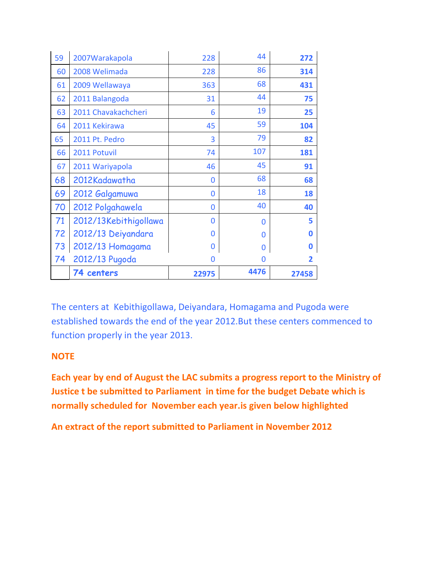| 59 | 2007 Warakapola       | 228   | 44   | 272      |
|----|-----------------------|-------|------|----------|
| 60 | 2008 Welimada         | 228   | 86   | 314      |
| 61 | 2009 Wellawaya        | 363   | 68   | 431      |
| 62 | 2011 Balangoda        | 31    | 44   | 75       |
| 63 | 2011 Chavakachcheri   | 6     | 19   | 25       |
| 64 | 2011 Kekirawa         | 45    | 59   | 104      |
| 65 | 2011 Pt. Pedro        | 3     | 79   | 82       |
| 66 | 2011 Potuvil          | 74    | 107  | 181      |
| 67 | 2011 Wariyapola       | 46    | 45   | 91       |
| 68 | 2012Kadawatha         | 0     | 68   | 68       |
| 69 | 2012 Galgamuwa        | 0     | 18   | 18       |
| 70 | 2012 Polgahawela      | 0     | 40   | 40       |
| 71 | 2012/13Kebithigollawa | O     | 0    | 5        |
| 72 | 2012/13 Deiyandara    | 0     | 0    | 0        |
| 73 | 2012/13 Homagama      | 0     | 0    | $\bf{0}$ |
| 74 | 2012/13 Pugoda        | 0     | 0    | 2        |
|    | 74 centers            | 22975 | 4476 | 27458    |

The centers at Kebithigollawa, Deiyandara, Homagama and Pugoda were established towards the end of the year 2012.But these centers commenced to function properly in the year 2013.

## **NOTE**

**Each year by end of August the LAC submits a progress report to the Ministry of Justice t be submitted to Parliament in time for the budget Debate which is normally scheduled for November each year.is given below highlighted** 

**An extract of the report submitted to Parliament in November 2012**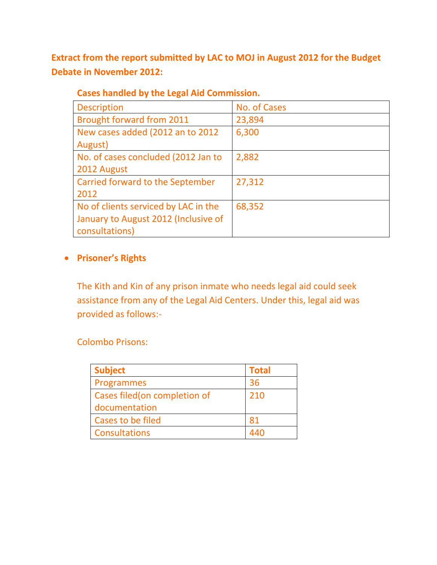**Extract from the report submitted by LAC to MOJ in August 2012 for the Budget Debate in November 2012:**

| <b>Description</b>                   | No. of Cases |
|--------------------------------------|--------------|
| <b>Brought forward from 2011</b>     | 23,894       |
| New cases added (2012 an to 2012     | 6,300        |
| August)                              |              |
| No. of cases concluded (2012 Jan to  | 2,882        |
| 2012 August                          |              |
| Carried forward to the September     | 27,312       |
| 2012                                 |              |
| No of clients serviced by LAC in the | 68,352       |
| January to August 2012 (Inclusive of |              |
| consultations)                       |              |

## **Cases handled by the Legal Aid Commission.**

## **Prisoner's Rights**

The Kith and Kin of any prison inmate who needs legal aid could seek assistance from any of the Legal Aid Centers. Under this, legal aid was provided as follows:-

Colombo Prisons:

| <b>Subject</b>                | <b>Total</b> |
|-------------------------------|--------------|
| Programmes                    | 36           |
| Cases filed (on completion of | 210          |
| documentation                 |              |
| Cases to be filed             | 81           |
| <b>Consultations</b>          |              |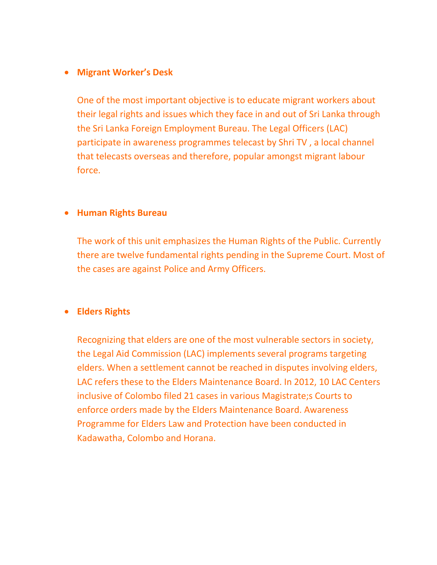#### **Migrant Worker's Desk**

One of the most important objective is to educate migrant workers about their legal rights and issues which they face in and out of Sri Lanka through the Sri Lanka Foreign Employment Bureau. The Legal Officers (LAC) participate in awareness programmes telecast by Shri TV , a local channel that telecasts overseas and therefore, popular amongst migrant labour force.

#### **Human Rights Bureau**

The work of this unit emphasizes the Human Rights of the Public. Currently there are twelve fundamental rights pending in the Supreme Court. Most of the cases are against Police and Army Officers.

### **Elders Rights**

Recognizing that elders are one of the most vulnerable sectors in society, the Legal Aid Commission (LAC) implements several programs targeting elders. When a settlement cannot be reached in disputes involving elders, LAC refers these to the Elders Maintenance Board. In 2012, 10 LAC Centers inclusive of Colombo filed 21 cases in various Magistrate;s Courts to enforce orders made by the Elders Maintenance Board. Awareness Programme for Elders Law and Protection have been conducted in Kadawatha, Colombo and Horana.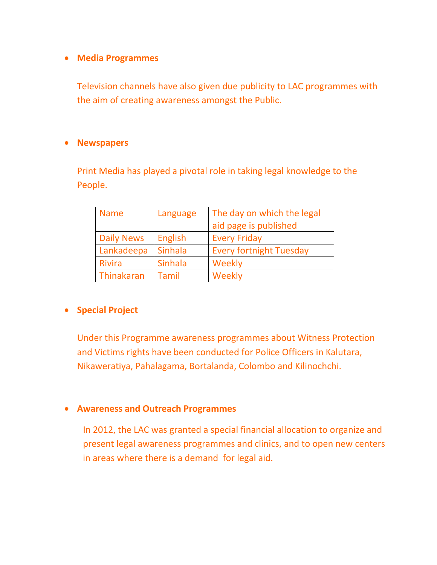### **Media Programmes**

Television channels have also given due publicity to LAC programmes with the aim of creating awareness amongst the Public.

### **Newspapers**

Print Media has played a pivotal role in taking legal knowledge to the People.

| <b>Name</b>       | Language       | The day on which the legal     |  |
|-------------------|----------------|--------------------------------|--|
|                   |                | aid page is published          |  |
| <b>Daily News</b> | <b>English</b> | <b>Every Friday</b>            |  |
| Lankadeepa        | Sinhala        | <b>Every fortnight Tuesday</b> |  |
| <b>Rivira</b>     | <b>Sinhala</b> | Weekly                         |  |
| Thinakaran        | Tamil          | Weekly                         |  |

## **•** Special Project

Under this Programme awareness programmes about Witness Protection and Victims rights have been conducted for Police Officers in Kalutara, Nikaweratiya, Pahalagama, Bortalanda, Colombo and Kilinochchi.

### **Awareness and Outreach Programmes**

In 2012, the LAC was granted a special financial allocation to organize and present legal awareness programmes and clinics, and to open new centers in areas where there is a demand for legal aid.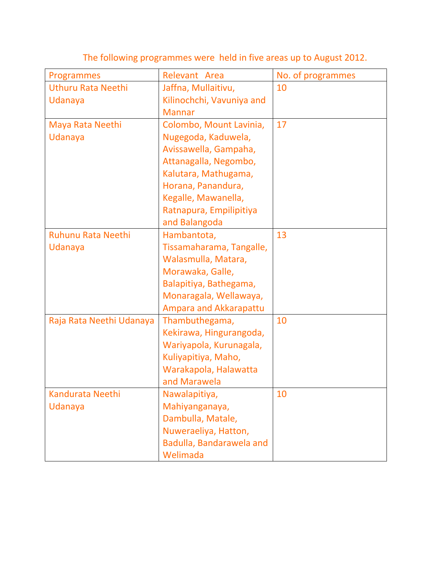| Programmes                | Relevant Area                                  | No. of programmes |
|---------------------------|------------------------------------------------|-------------------|
| <b>Uthuru Rata Neethi</b> | Jaffna, Mullaitivu,                            | 10                |
| Udanaya                   | Kilinochchi, Vavuniya and                      |                   |
|                           | <b>Mannar</b>                                  |                   |
| Maya Rata Neethi          | Colombo, Mount Lavinia,                        | 17                |
| Udanaya                   | Nugegoda, Kaduwela,                            |                   |
|                           | Avissawella, Gampaha,                          |                   |
|                           | Attanagalla, Negombo,                          |                   |
|                           | Kalutara, Mathugama,                           |                   |
|                           | Horana, Panandura,                             |                   |
|                           | Kegalle, Mawanella,                            |                   |
|                           | Ratnapura, Empilipitiya                        |                   |
|                           | and Balangoda                                  |                   |
| <b>Ruhunu Rata Neethi</b> | Hambantota,                                    | 13                |
| Udanaya                   | Tissamaharama, Tangalle,                       |                   |
|                           | Walasmulla, Matara,                            |                   |
|                           | Morawaka, Galle,                               |                   |
|                           | Balapitiya, Bathegama,                         |                   |
|                           | Monaragala, Wellawaya,                         |                   |
|                           | Ampara and Akkarapattu                         | 10                |
| Raja Rata Neethi Udanaya  | Thambuthegama,                                 |                   |
|                           | Kekirawa, Hingurangoda,                        |                   |
|                           | Wariyapola, Kurunagala,<br>Kuliyapitiya, Maho, |                   |
|                           | Warakapola, Halawatta                          |                   |
|                           | and Marawela                                   |                   |
| Kandurata Neethi          | Nawalapitiya,                                  | 10                |
| Udanaya                   | Mahiyanganaya,                                 |                   |
|                           | Dambulla, Matale,                              |                   |
|                           | Nuweraeliya, Hatton,                           |                   |
|                           | Badulla, Bandarawela and                       |                   |
|                           | Welimada                                       |                   |

The following programmes were held in five areas up to August 2012.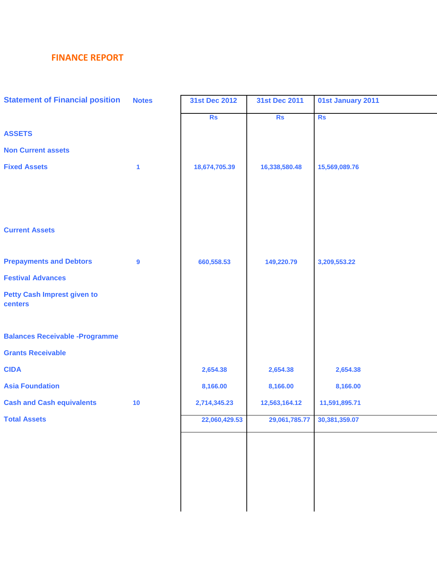## **FINANCE REPORT**

| <b>Statement of Financial position</b> | <b>Notes</b>     | 31st Dec 2012 | 31st Dec 2011 | 01st January 2011 |
|----------------------------------------|------------------|---------------|---------------|-------------------|
|                                        |                  | <b>Rs</b>     | <b>Rs</b>     | <b>Rs</b>         |
| <b>ASSETS</b>                          |                  |               |               |                   |
| <b>Non Current assets</b>              |                  |               |               |                   |
| <b>Fixed Assets</b>                    | $\mathbf{1}$     | 18,674,705.39 | 16,338,580.48 | 15,569,089.76     |
|                                        |                  |               |               |                   |
|                                        |                  |               |               |                   |
|                                        |                  |               |               |                   |
| <b>Current Assets</b>                  |                  |               |               |                   |
|                                        |                  |               |               |                   |
| <b>Prepayments and Debtors</b>         | $\boldsymbol{9}$ | 660,558.53    | 149,220.79    | 3,209,553.22      |
| <b>Festival Advances</b>               |                  |               |               |                   |
| <b>Petty Cash Imprest given to</b>     |                  |               |               |                   |
| centers                                |                  |               |               |                   |
|                                        |                  |               |               |                   |
| <b>Balances Receivable -Programme</b>  |                  |               |               |                   |
| <b>Grants Receivable</b>               |                  |               |               |                   |
| <b>CIDA</b>                            |                  | 2,654.38      | 2,654.38      | 2,654.38          |
| <b>Asia Foundation</b>                 |                  | 8,166.00      | 8,166.00      | 8,166.00          |
| <b>Cash and Cash equivalents</b>       | 10               | 2,714,345.23  | 12,563,164.12 | 11,591,895.71     |
| <b>Total Assets</b>                    |                  | 22,060,429.53 | 29,061,785.77 | 30,381,359.07     |
|                                        |                  |               |               |                   |
|                                        |                  |               |               |                   |
|                                        |                  |               |               |                   |
|                                        |                  |               |               |                   |
|                                        |                  |               |               |                   |
|                                        |                  |               |               |                   |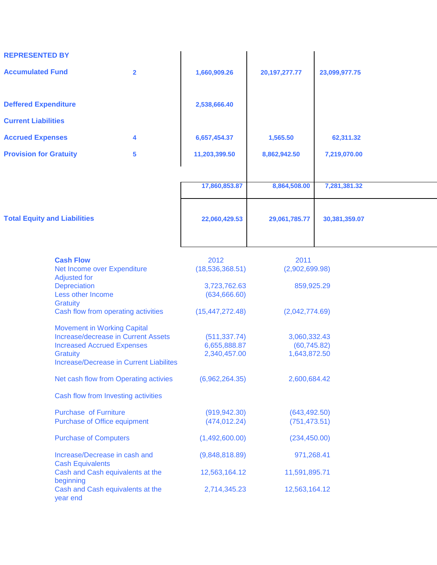| <b>REPRESENTED BY</b>                                                                                                                                                               |                                                              |                                               |                                              |                                |               |
|-------------------------------------------------------------------------------------------------------------------------------------------------------------------------------------|--------------------------------------------------------------|-----------------------------------------------|----------------------------------------------|--------------------------------|---------------|
| <b>Accumulated Fund</b>                                                                                                                                                             |                                                              | $\overline{2}$                                | 1,660,909.26                                 | 20, 197, 277. 77               | 23,099,977.75 |
| <b>Deffered Expenditure</b>                                                                                                                                                         |                                                              |                                               | 2,538,666.40                                 |                                |               |
| <b>Current Liabilities</b>                                                                                                                                                          |                                                              |                                               |                                              |                                |               |
| <b>Accrued Expenses</b>                                                                                                                                                             |                                                              | 4                                             | 6,657,454.37                                 | 1,565.50                       | 62,311.32     |
| <b>Provision for Gratuity</b>                                                                                                                                                       |                                                              | 5                                             | 11,203,399.50                                | 8,862,942.50                   | 7,219,070.00  |
|                                                                                                                                                                                     |                                                              |                                               |                                              |                                |               |
|                                                                                                                                                                                     |                                                              |                                               | 17,860,853.87                                | 8,864,508.00                   | 7,281,381.32  |
| <b>Total Equity and Liabilities</b>                                                                                                                                                 |                                                              | 22,060,429.53                                 | 29,061,785.77                                | 30,381,359.07                  |               |
|                                                                                                                                                                                     | <b>Cash Flow</b><br>Net Income over Expenditure              |                                               | 2012<br>(18, 536, 368.51)                    | 2011<br>(2,902,699.98)         |               |
| <b>Adjusted for</b><br>Depreciation<br>Less other Income                                                                                                                            |                                                              | 3,723,762.63<br>(634, 666.60)                 | 859,925.29                                   |                                |               |
|                                                                                                                                                                                     | <b>Gratuity</b><br>Cash flow from operating activities       |                                               | (15, 447, 272.48)                            | (2,042,774.69)                 |               |
| <b>Movement in Working Capital</b><br><b>Increase/decrease in Current Assets</b><br><b>Increased Accrued Expenses</b><br><b>Gratuity</b><br>Increase/Decrease in Current Liabilites |                                                              | (511, 337.74)<br>6,655,888.87<br>2,340,457.00 | 3,060,332.43<br>(60, 745.82)<br>1,643,872.50 |                                |               |
|                                                                                                                                                                                     | Net cash flow from Operating activies                        |                                               | (6,962,264.35)                               | 2,600,684.42                   |               |
| Cash flow from Investing activities                                                                                                                                                 |                                                              |                                               |                                              |                                |               |
|                                                                                                                                                                                     | <b>Purchase of Furniture</b><br>Purchase of Office equipment |                                               | (919, 942.30)<br>(474, 012.24)               | (643, 492.50)<br>(751, 473.51) |               |
| <b>Purchase of Computers</b>                                                                                                                                                        |                                                              | (1,492,600.00)                                | (234, 450.00)                                |                                |               |
| Increase/Decrease in cash and<br><b>Cash Equivalents</b>                                                                                                                            |                                                              | (9,848,818.89)                                | 971,268.41                                   |                                |               |
|                                                                                                                                                                                     | Cash and Cash equivalents at the<br>beginning                |                                               | 12,563,164.12                                | 11,591,895.71                  |               |
|                                                                                                                                                                                     | Cash and Cash equivalents at the<br>year end                 |                                               | 2,714,345.23                                 | 12,563,164.12                  |               |